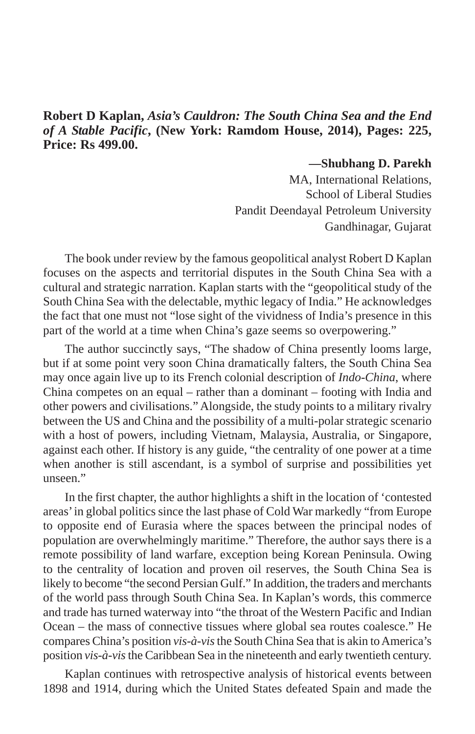## **Robert D Kaplan,** *Asia's Cauldron: The South China Sea and the End of A Stable Pacific***, (New York: Ramdom House, 2014), Pages: 225, Price: Rs 499.00.**

**—Shubhang D. Parekh**

MA, International Relations, School of Liberal Studies Pandit Deendayal Petroleum University Gandhinagar, Gujarat

The book under review by the famous geopolitical analyst Robert D Kaplan focuses on the aspects and territorial disputes in the South China Sea with a cultural and strategic narration. Kaplan starts with the "geopolitical study of the South China Sea with the delectable, mythic legacy of India." He acknowledges the fact that one must not "lose sight of the vividness of India's presence in this part of the world at a time when China's gaze seems so overpowering."

The author succinctly says, "The shadow of China presently looms large, but if at some point very soon China dramatically falters, the South China Sea may once again live up to its French colonial description of *Indo-China*, where China competes on an equal – rather than a dominant – footing with India and other powers and civilisations." Alongside, the study points to a military rivalry between the US and China and the possibility of a multi-polar strategic scenario with a host of powers, including Vietnam, Malaysia, Australia, or Singapore, against each other. If history is any guide, "the centrality of one power at a time when another is still ascendant, is a symbol of surprise and possibilities yet unseen<sup>"</sup>

In the first chapter, the author highlights a shift in the location of 'contested areas' in global politics since the last phase of Cold War markedly "from Europe to opposite end of Eurasia where the spaces between the principal nodes of population are overwhelmingly maritime." Therefore, the author says there is a remote possibility of land warfare, exception being Korean Peninsula. Owing to the centrality of location and proven oil reserves, the South China Sea is likely to become "the second Persian Gulf." In addition, the traders and merchants of the world pass through South China Sea. In Kaplan's words, this commerce and trade has turned waterway into "the throat of the Western Pacific and Indian Ocean – the mass of connective tissues where global sea routes coalesce." He compares China's position *vis-à-vis* the South China Sea that is akin to America's position *vis-à-vis* the Caribbean Sea in the nineteenth and early twentieth century.

Kaplan continues with retrospective analysis of historical events between 1898 and 1914, during which the United States defeated Spain and made the